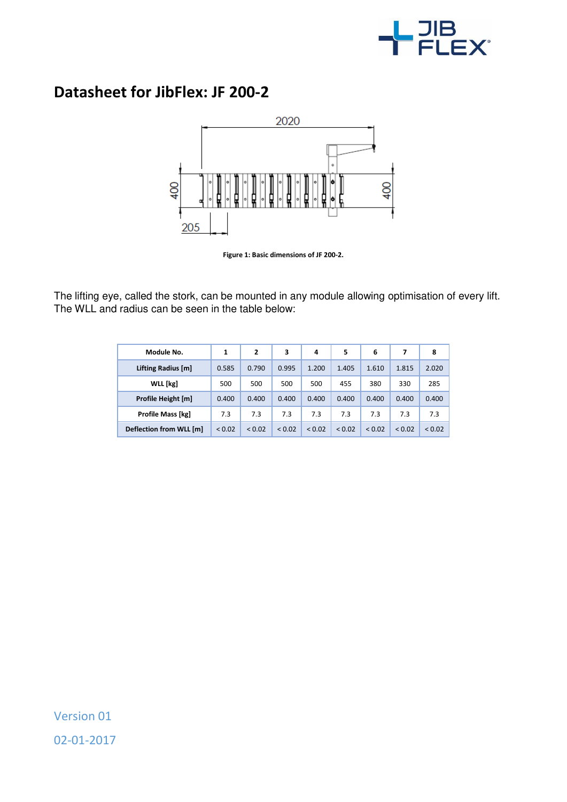

## **Datasheet for JibFlex: JF 200-2**



**Figure 1: Basic dimensions of JF 200-2.** 

The lifting eye, called the stork, can be mounted in any module allowing optimisation of every lift. The WLL and radius can be seen in the table below:

| Module No.              | 1      | 2      | 3           | 4           | 5           | 6           |             | 8      |
|-------------------------|--------|--------|-------------|-------------|-------------|-------------|-------------|--------|
| Lifting Radius [m]      | 0.585  | 0.790  | 0.995       | 1.200       | 1.405       | 1.610       | 1.815       | 2.020  |
| WLL [kg]                | 500    | 500    | 500         | 500         | 455         | 380         | 330         | 285    |
| Profile Height [m]      | 0.400  | 0.400  | 0.400       | 0.400       | 0.400       | 0.400       | 0.400       | 0.400  |
| Profile Mass [kg]       | 7.3    | 7.3    | 7.3         | 7.3         | 7.3         | 7.3         | 7.3         | 7.3    |
| Deflection from WLL [m] | < 0.02 | < 0.02 | ${}_{0.02}$ | ${}_{0.02}$ | ${}_{0.02}$ | ${}_{0.02}$ | ${}_{0.02}$ | < 0.02 |